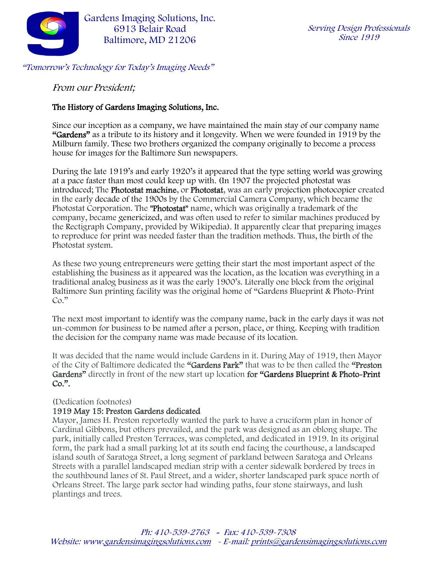

From our President;

### The History of Gardens Imaging Solutions, Inc.

Since our inception as a company, we have maintained the main stay of our company name "Gardens" as a tribute to its history and it longevity. When we were founded in 1919 by the Milburn family. These two brothers organized the company originally to become a process house for images for the Baltimore Sun newspapers.

During the late 1919's and early 1920's it appeared that the type setting world was growing at a pace faster than most could keep up with. (In 1907 the projected photostat was introduced; The Photostat machine, or Photostat, was an early [projection photocopier](https://en.wikipedia.org/wiki/Photocopying) created in the early [decade of the 1900s](https://en.wikipedia.org/wiki/1900s_(decade)) by the Commercial Camera Company, which became the Photostat Corporation. The "Photostat" name, which was originally a trademark of the company, became [genericized,](https://en.wikipedia.org/wiki/Generic_trademark) and was often used to refer to similar machines produced by the Rectigraph Company, provided by Wikipedia). It apparently clear that preparing images to reproduce for print was needed faster than the tradition methods. Thus, the birth of the Photostat system.

As these two young entrepreneurs were getting their start the most important aspect of the establishing the business as it appeared was the location, as the location was everything in a traditional analog business as it was the early 1900's. Literally one block from the original Baltimore Sun printing facility was the original home of "Gardens Blueprint & Photo-Print Co."

The next most important to identify was the company name, back in the early days it was not un-common for business to be named after a person, place, or thing. Keeping with tradition the decision for the company name was made because of its location.

It was decided that the name would include Gardens in it. During May of 1919, then Mayor of the City of Baltimore dedicated the "Gardens Park" that was to be then called the "Preston Gardens" directly in front of the new start up location for "Gardens Blueprint & Photo-Print"  $Co.$ ".

#### (Dedication footnotes)

#### 1919 May 15: Preston Gardens dedicated

Mayor, James H. Preston reportedly wanted the park to have a cruciform plan in honor of Cardinal Gibbons, but others prevailed, and the park was designed as an oblong shape. The park, initially called Preston Terraces, was completed, and dedicated in 1919. In its original form, the park had a small parking lot at its south end facing the courthouse, a landscaped island south of Saratoga Street, a long segment of parkland between Saratoga and Orleans Streets with a parallel landscaped median strip with a center sidewalk bordered by trees in the southbound lanes of St. Paul Street, and a wider, shorter landscaped park space north of Orleans Street. The large park sector had winding paths, four stone stairways, and lush plantings and trees.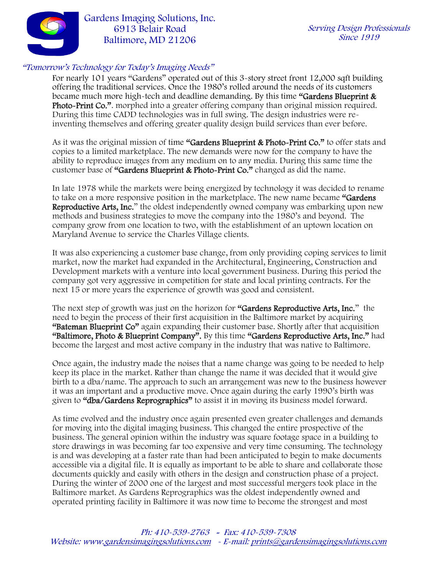

For nearly 101 years "Gardens" operated out of this 3-story street front 12,000 sqft building offering the traditional services. Once the 1980's rolled around the needs of its customers became much more high-tech and deadline demanding. By this time "Gardens Blueprint & Photo-Print Co.". morphed into a greater offering company than original mission required. During this time CADD technologies was in full swing. The design industries were reinventing themselves and offering greater quality design build services than ever before.

As it was the original mission of time "Gardens Blueprint & Photo-Print Co." to offer stats and copies to a limited marketplace. The new demands were now for the company to have the ability to reproduce images from any medium on to any media. During this same time the customer base of "Gardens Blueprint & Photo-Print Co." changed as did the name.

In late 1978 while the markets were being energized by technology it was decided to rename to take on a more responsive position in the marketplace. The new name became "Gardens Reproductive Arts, Inc." the oldest independently owned company was embarking upon new methods and business strategies to move the company into the 1980's and beyond. The company grow from one location to two, with the establishment of an uptown location on Maryland Avenue to service the Charles Village clients.

It was also experiencing a customer base change, from only providing coping services to limit market, now the market had expanded in the Architectural, Engineering, Construction and Development markets with a venture into local government business. During this period the company got very aggressive in competition for state and local printing contracts. For the next 15 or more years the experience of growth was good and consistent.

The next step of growth was just on the horizon for "Gardens Reproductive Arts, Inc." the need to begin the process of their first acquisition in the Baltimore market by acquiring "Bateman Blueprint Co" again expanding their customer base. Shortly after that acquisition "Baltimore, Photo & Blueprint Company". By this time "Gardens Reproductive Arts, Inc." had become the largest and most active company in the industry that was native to Baltimore.

Once again, the industry made the noises that a name change was going to be needed to help keep its place in the market. Rather than change the name it was decided that it would give birth to a dba/name. The approach to such an arrangement was new to the business however it was an important and a productive move. Once again during the early 1990's birth was given to "dba/Gardens Reprographics" to assist it in moving its business model forward.

As time evolved and the industry once again presented even greater challenges and demands for moving into the digital imaging business. This changed the entire prospective of the business. The general opinion within the industry was square footage space in a building to store drawings in was becoming far too expensive and very time consuming. The technology is and was developing at a faster rate than had been anticipated to begin to make documents accessible via a digital file. It is equally as important to be able to share and collaborate those documents quickly and easily with others in the design and construction phase of a project. During the winter of 2000 one of the largest and most successful mergers took place in the Baltimore market. As Gardens Reprographics was the oldest independently owned and operated printing facility in Baltimore it was now time to become the strongest and most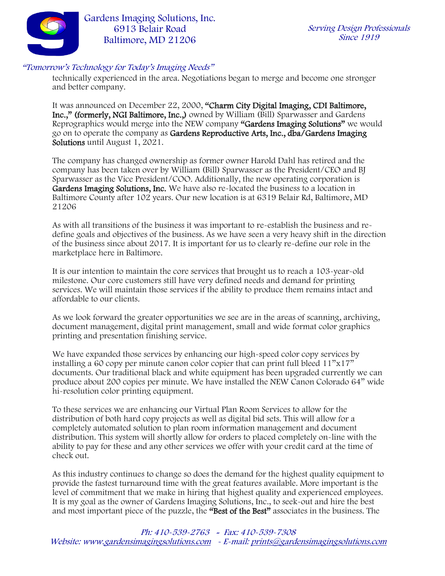

technically experienced in the area. Negotiations began to merge and become one stronger and better company.

It was announced on December 22, 2000, "Charm City Digital Imaging, CDI Baltimore, Inc.," (formerly, NGI Baltimore, Inc.,) owned by William (Bill) Sparwasser and Gardens Reprographics would merge into the NEW company "Gardens Imaging Solutions" we would go on to operate the company as Gardens Reproductive Arts, Inc., dba/Gardens Imaging Solutions until August 1, 2021.

The company has changed ownership as former owner Harold Dahl has retired and the company has been taken over by William (Bill) Sparwasser as the President/CEO and BJ Sparwasser as the Vice President/COO. Additionally, the new operating corporation is Gardens Imaging Solutions, Inc. We have also re-located the business to a location in Baltimore County after 102 years. Our new location is at 6319 Belair Rd, Baltimore, MD 21206

As with all transitions of the business it was important to re-establish the business and redefine goals and objectives of the business. As we have seen a very heavy shift in the direction of the business since about 2017. It is important for us to clearly re-define our role in the marketplace here in Baltimore.

It is our intention to maintain the core services that brought us to reach a 103-year-old milestone. Our core customers still have very defined needs and demand for printing services. We will maintain those services if the ability to produce them remains intact and affordable to our clients.

As we look forward the greater opportunities we see are in the areas of scanning, archiving, document management, digital print management, small and wide format color graphics printing and presentation finishing service.

We have expanded those services by enhancing our high-speed color copy services by installing a 60 copy per minute canon color copier that can print full bleed 11"x17" documents. Our traditional black and white equipment has been upgraded currently we can produce about 200 copies per minute. We have installed the NEW Canon Colorado 64" wide hi-resolution color printing equipment.

To these services we are enhancing our Virtual Plan Room Services to allow for the distribution of both hard copy projects as well as digital bid sets. This will allow for a completely automated solution to plan room information management and document distribution. This system will shortly allow for orders to placed completely on-line with the ability to pay for these and any other services we offer with your credit card at the time of check out.

As this industry continues to change so does the demand for the highest quality equipment to provide the fastest turnaround time with the great features available. More important is the level of commitment that we make in hiring that highest quality and experienced employees. It is my goal as the owner of Gardens Imaging Solutions, Inc., to seek-out and hire the best and most important piece of the puzzle, the "Best of the Best" associates in the business. The